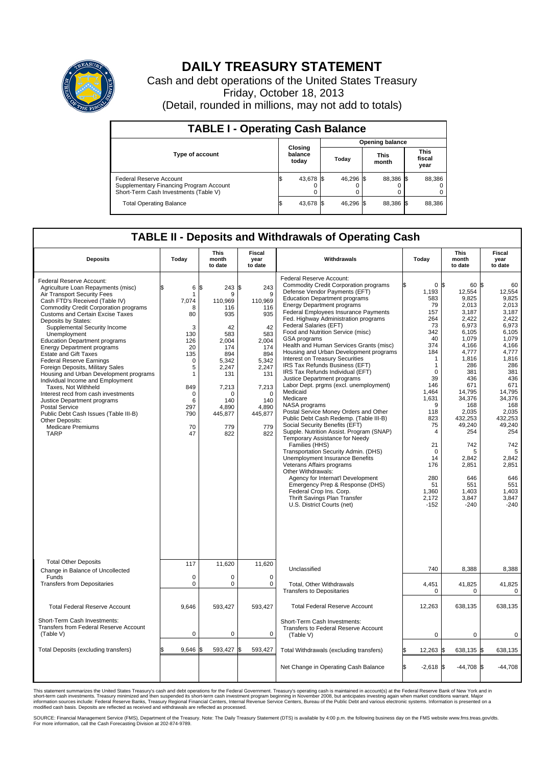

## **DAILY TREASURY STATEMENT**

Cash and debt operations of the United States Treasury Friday, October 18, 2013 (Detail, rounded in millions, may not add to totals)

| <b>TABLE I - Operating Cash Balance</b>                                                                     |  |                             |       |           |  |                      |  |                               |  |  |  |
|-------------------------------------------------------------------------------------------------------------|--|-----------------------------|-------|-----------|--|----------------------|--|-------------------------------|--|--|--|
| <b>Opening balance</b>                                                                                      |  |                             |       |           |  |                      |  |                               |  |  |  |
| <b>Type of account</b>                                                                                      |  | Closing<br>balance<br>today | Today |           |  | <b>This</b><br>month |  | <b>This</b><br>fiscal<br>year |  |  |  |
| Federal Reserve Account<br>Supplementary Financing Program Account<br>Short-Term Cash Investments (Table V) |  | 43,678 \$                   |       | 46,296 \$ |  | 88,386 \$            |  | 88,386                        |  |  |  |
| <b>Total Operating Balance</b>                                                                              |  | 43,678 \$                   |       | 46,296 \$ |  | 88,386 \$            |  | 88,386                        |  |  |  |

## **TABLE II - Deposits and Withdrawals of Operating Cash**

| <b>Deposits</b>                                                                                                                                                                                                                                                                                                                                                                                                                                                                                                                                                                                                                                                                                                                                                                           | Today                                                                                                                                                   | <b>This</b><br>month<br>to date                                                                                                                              | <b>Fiscal</b><br>year<br>to date                                                                                                                             | Withdrawals                                                                                                                                                                                                                                                                                                                                                                                                                                                                                                                                                                                                                                                                                                                                                                                                                                                                                                                                                                                                                                                                                                                                                                                      | Today                                                                                                                                                                                                                                                   | This<br>month<br>to date                                                                                                                                                                                                                                                                        | Fiscal<br>year<br>to date                                                                                                                                                                                                                                                  |
|-------------------------------------------------------------------------------------------------------------------------------------------------------------------------------------------------------------------------------------------------------------------------------------------------------------------------------------------------------------------------------------------------------------------------------------------------------------------------------------------------------------------------------------------------------------------------------------------------------------------------------------------------------------------------------------------------------------------------------------------------------------------------------------------|---------------------------------------------------------------------------------------------------------------------------------------------------------|--------------------------------------------------------------------------------------------------------------------------------------------------------------|--------------------------------------------------------------------------------------------------------------------------------------------------------------|--------------------------------------------------------------------------------------------------------------------------------------------------------------------------------------------------------------------------------------------------------------------------------------------------------------------------------------------------------------------------------------------------------------------------------------------------------------------------------------------------------------------------------------------------------------------------------------------------------------------------------------------------------------------------------------------------------------------------------------------------------------------------------------------------------------------------------------------------------------------------------------------------------------------------------------------------------------------------------------------------------------------------------------------------------------------------------------------------------------------------------------------------------------------------------------------------|---------------------------------------------------------------------------------------------------------------------------------------------------------------------------------------------------------------------------------------------------------|-------------------------------------------------------------------------------------------------------------------------------------------------------------------------------------------------------------------------------------------------------------------------------------------------|----------------------------------------------------------------------------------------------------------------------------------------------------------------------------------------------------------------------------------------------------------------------------|
| Federal Reserve Account:<br>Agriculture Loan Repayments (misc)<br>Air Transport Security Fees<br>Cash FTD's Received (Table IV)<br>Commodity Credit Corporation programs<br><b>Customs and Certain Excise Taxes</b><br>Deposits by States:<br>Supplemental Security Income<br>Unemployment<br><b>Education Department programs</b><br><b>Energy Department programs</b><br><b>Estate and Gift Taxes</b><br><b>Federal Reserve Earnings</b><br>Foreign Deposits, Military Sales<br>Housing and Urban Development programs<br>Individual Income and Employment<br>Taxes. Not Withheld<br>Interest recd from cash investments<br>Justice Department programs<br><b>Postal Service</b><br>Public Debt Cash Issues (Table III-B)<br>Other Deposits:<br><b>Medicare Premiums</b><br><b>TARP</b> | 6<br>\$<br>-1<br>7,074<br>8<br>80<br>3<br>130<br>126<br>20<br>135<br>$\Omega$<br>5<br>$\mathbf{1}$<br>849<br>$\mathbf 0$<br>6<br>297<br>790<br>70<br>47 | \$<br>243S<br>9<br>110,969<br>116<br>935<br>42<br>583<br>2,004<br>174<br>894<br>5.342<br>2,247<br>131<br>7,213<br>0<br>140<br>4.890<br>445,877<br>779<br>822 | 243<br>9<br>110.969<br>116<br>935<br>42<br>583<br>2,004<br>174<br>894<br>5.342<br>2,247<br>131<br>7,213<br>$\Omega$<br>140<br>4.890<br>445,877<br>779<br>822 | Federal Reserve Account:<br><b>Commodity Credit Corporation programs</b><br>Defense Vendor Payments (EFT)<br><b>Education Department programs</b><br><b>Energy Department programs</b><br><b>Federal Employees Insurance Payments</b><br>Fed. Highway Administration programs<br>Federal Salaries (EFT)<br>Food and Nutrition Service (misc)<br>GSA programs<br>Health and Human Services Grants (misc)<br>Housing and Urban Development programs<br>Interest on Treasury Securities<br>IRS Tax Refunds Business (EFT)<br>IRS Tax Refunds Individual (EFT)<br>Justice Department programs<br>Labor Dept. prgms (excl. unemployment)<br>Medicaid<br>Medicare<br>NASA programs<br>Postal Service Money Orders and Other<br>Public Debt Cash Redemp. (Table III-B)<br>Social Security Benefits (EFT)<br>Supple. Nutrition Assist. Program (SNAP)<br>Temporary Assistance for Needy<br>Families (HHS)<br>Transportation Security Admin. (DHS)<br>Unemployment Insurance Benefits<br>Veterans Affairs programs<br>Other Withdrawals:<br>Agency for Internat'l Development<br>Emergency Prep & Response (DHS)<br>Federal Crop Ins. Corp.<br>Thrift Savings Plan Transfer<br>U.S. District Courts (net) | 1,193<br>583<br>79<br>157<br>264<br>73<br>342<br>40<br>374<br>184<br>1<br>$\mathbf{1}$<br>$\mathbf 0$<br>39<br>146<br>1,464<br>1,631<br>9<br>118<br>823<br>75<br>$\overline{4}$<br>21<br>$\Omega$<br>14<br>176<br>280<br>51<br>1,360<br>2,172<br>$-152$ | 60 \$<br>0 <sup>8</sup><br>12,554<br>9.825<br>2,013<br>3,187<br>2,422<br>6.973<br>6,105<br>1.079<br>4,166<br>4.777<br>1,816<br>286<br>381<br>436<br>671<br>14,795<br>34,376<br>168<br>2,035<br>432.253<br>49,240<br>254<br>742<br>5<br>2,842<br>2,851<br>646<br>551<br>1,403<br>3,847<br>$-240$ | 60<br>12,554<br>9.825<br>2,013<br>3,187<br>2,422<br>6.973<br>6,105<br>1.079<br>4,166<br>4,777<br>1,816<br>286<br>381<br>436<br>671<br>14,795<br>34.376<br>168<br>2,035<br>432,253<br>49,240<br>254<br>742<br>5<br>2,842<br>2,851<br>646<br>551<br>1,403<br>3,847<br>$-240$ |
| <b>Total Other Deposits</b><br>Change in Balance of Uncollected                                                                                                                                                                                                                                                                                                                                                                                                                                                                                                                                                                                                                                                                                                                           | 117                                                                                                                                                     | 11,620                                                                                                                                                       | 11,620                                                                                                                                                       | Unclassified                                                                                                                                                                                                                                                                                                                                                                                                                                                                                                                                                                                                                                                                                                                                                                                                                                                                                                                                                                                                                                                                                                                                                                                     | 740                                                                                                                                                                                                                                                     | 8,388                                                                                                                                                                                                                                                                                           | 8,388                                                                                                                                                                                                                                                                      |
| Funds<br><b>Transfers from Depositaries</b>                                                                                                                                                                                                                                                                                                                                                                                                                                                                                                                                                                                                                                                                                                                                               | $\mathbf 0$<br>$\mathbf 0$                                                                                                                              | $\Omega$<br>0                                                                                                                                                | $\mathbf 0$<br>$\Omega$                                                                                                                                      | Total, Other Withdrawals<br><b>Transfers to Depositaries</b>                                                                                                                                                                                                                                                                                                                                                                                                                                                                                                                                                                                                                                                                                                                                                                                                                                                                                                                                                                                                                                                                                                                                     | 4,451<br>$\mathbf 0$                                                                                                                                                                                                                                    | 41,825<br>0                                                                                                                                                                                                                                                                                     | 41,825<br>0                                                                                                                                                                                                                                                                |
| <b>Total Federal Reserve Account</b>                                                                                                                                                                                                                                                                                                                                                                                                                                                                                                                                                                                                                                                                                                                                                      | 9,646                                                                                                                                                   | 593,427                                                                                                                                                      | 593,427                                                                                                                                                      | <b>Total Federal Reserve Account</b>                                                                                                                                                                                                                                                                                                                                                                                                                                                                                                                                                                                                                                                                                                                                                                                                                                                                                                                                                                                                                                                                                                                                                             | 12,263                                                                                                                                                                                                                                                  | 638,135                                                                                                                                                                                                                                                                                         | 638,135                                                                                                                                                                                                                                                                    |
| Short-Term Cash Investments:<br>Transfers from Federal Reserve Account<br>(Table V)                                                                                                                                                                                                                                                                                                                                                                                                                                                                                                                                                                                                                                                                                                       | $\pmb{0}$                                                                                                                                               | 0                                                                                                                                                            | $\mathbf 0$                                                                                                                                                  | Short-Term Cash Investments:<br>Transfers to Federal Reserve Account<br>(Table V)                                                                                                                                                                                                                                                                                                                                                                                                                                                                                                                                                                                                                                                                                                                                                                                                                                                                                                                                                                                                                                                                                                                | $\mathbf 0$                                                                                                                                                                                                                                             | 0                                                                                                                                                                                                                                                                                               | 0                                                                                                                                                                                                                                                                          |
| Total Deposits (excluding transfers)                                                                                                                                                                                                                                                                                                                                                                                                                                                                                                                                                                                                                                                                                                                                                      | 9,646                                                                                                                                                   | 593,427                                                                                                                                                      | 593,427                                                                                                                                                      | Total Withdrawals (excluding transfers)                                                                                                                                                                                                                                                                                                                                                                                                                                                                                                                                                                                                                                                                                                                                                                                                                                                                                                                                                                                                                                                                                                                                                          | 12,263 \$                                                                                                                                                                                                                                               | 638,135 \$                                                                                                                                                                                                                                                                                      | 638,135                                                                                                                                                                                                                                                                    |
|                                                                                                                                                                                                                                                                                                                                                                                                                                                                                                                                                                                                                                                                                                                                                                                           |                                                                                                                                                         |                                                                                                                                                              |                                                                                                                                                              | Net Change in Operating Cash Balance                                                                                                                                                                                                                                                                                                                                                                                                                                                                                                                                                                                                                                                                                                                                                                                                                                                                                                                                                                                                                                                                                                                                                             | Ŝ.<br>$-2,618$ \$                                                                                                                                                                                                                                       | $-44,708$ \$                                                                                                                                                                                                                                                                                    | $-44,708$                                                                                                                                                                                                                                                                  |

This statement summarizes the United States Treasury's cash and debt operations for the Federal Government. Treasury's operating cash is maintained in account(s) at the Federal Reserve Bank of New York and in<br>short-term ca

SOURCE: Financial Management Service (FMS), Department of the Treasury. Note: The Daily Treasury Statement (DTS) is available by 4:00 p.m. the following business day on the FMS website www.fms.treas.gov/dts.<br>For more infor